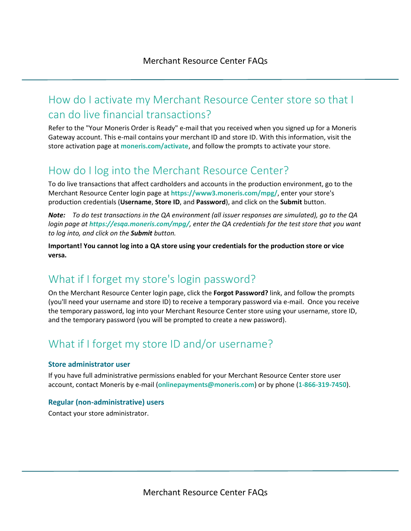## How do I activate my Merchant Resource Center store so that I can do live financial transactions?

Refer to the "Your Moneris Order is Ready" e-mail that you received when you signed up for a Moneris Gateway account. This e-mail contains your merchant ID and store ID. With this information, visit the store activation page at **[moneris.com/activate](https://www3.moneris.com/mpg/activate/)**, and follow the prompts to activate your store.

### How do I log into the Merchant Resource Center?

To do live transactions that affect cardholders and accounts in the production environment, go to the Merchant Resource Center login page at **<https://www3.moneris.com/mpg/>**, enter your store's production credentials (**Username**, **Store ID**, and **Password**), and click on the **Submit** button.

*Note: To do test transactions in the QA environment (all issuer responses are simulated), go to the QA login page at <https://esqa.moneris.com/mpg/>, enter the QA credentials for the test store that you want to log into, and click on the Submit button.*

**Important! You cannot log into a QA store using your credentials for the production store or vice versa.**

## What if I forget my store's login password?

On the Merchant Resource Center login page, click the **Forgot Password?** link, and follow the prompts (you'll need your username and store ID) to receive a temporary password via e-mail. Once you receive the temporary password, log into your Merchant Resource Center store using your username, store ID, and the temporary password (you will be prompted to create a new password).

# What if I forget my store ID and/or username?

#### **Store administrator user**

If you have full administrative permissions enabled for your Merchant Resource Center store user account, contact Moneris by e-mail (**[onlinepayments@moneris.com](mailto:onlinepayments@moneris.com)**) or by phone (**1-866-319-7450**).

#### **Regular (non-administrative) users**

Contact your store administrator.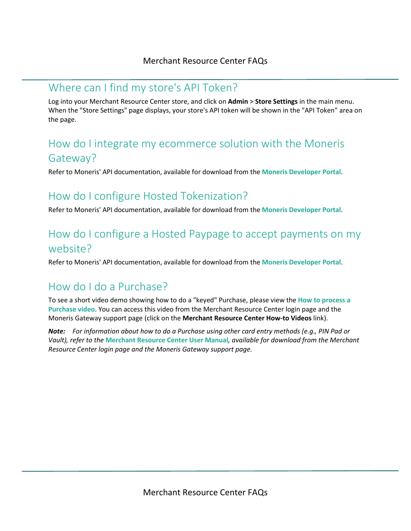#### Where can I find my store's API Token?

Log into your Merchant Resource Center store, and click on **Admin** > **Store Settings** in the main menu. When the "Store Settings" page displays, your store's API token will be shown in the "API Token" area on the page.

## How do I integrate my ecommerce solution with the Moneris Gateway?

Refer to Moneris' API documentation, available for download from the **[Moneris Developer Portal](https://developer.moneris.com/)**.

#### How do I configure Hosted Tokenization?

Refer to Moneris' API documentation, available for download from the **[Moneris Developer Portal](https://developer.moneris.com/)**.

## How do I configure a Hosted Paypage to accept payments on my website?

Refer to Moneris' API documentation, available for download from the **[Moneris Developer Portal](https://developer.moneris.com/)**.

# How do I do a Purchase?

To see a short video demo showing how to do a "keyed" Purchase, please view the **[How to process a](https://www3.moneris.com/mpg/)  [Purchase](https://www3.moneris.com/mpg/) video**. You can access this video from the Merchant Resource Center login page and the Moneris Gateway support page (click on the **Merchant Resource Center How-to Videos** link).

*Note: For information about how to do a Purchase using other card entry methods (e.g., PIN Pad or Vault), refer to the* **[Merchant Resource Center User Manual](https://www3.moneris.com/mpg/)***, available for download from the Merchant Resource Center login page and the Moneris Gateway support page.*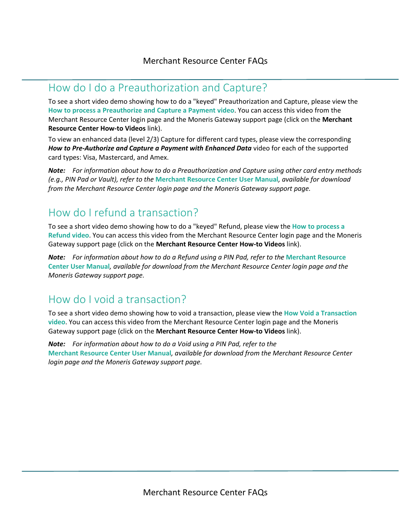#### How do I do a Preauthorization and Capture?

To see a short video demo showing how to do a "keyed" Preauthorization and Capture, please view the **[How to process a Preauthorize](https://www3.moneris.com/mpg/) and Capture a Payment video**. You can access this video from the Merchant Resource Center login page and the Moneris Gateway support page (click on the **Merchant Resource Center How-to Videos** link).

To view an enhanced data (level 2/3) Capture for different card types, please view the corresponding *How to Pre-Authorize and Capture a Payment with Enhanced Data* video for each of the supported card types: Visa, Mastercard, and Amex.

*Note: For information about how to do a Preauthorization and Capture using other card entry methods (e.g., PIN Pad or Vault), refer to the* **[Merchant Resource Center User Manual](https://www3.moneris.com/mpg/)***, available for download from the Merchant Resource Center login page and the Moneris Gateway support page.*

# How do I refund a transaction?

To see a short video demo showing how to do a "keyed" Refund, please view the **[How to process a](https://www3.moneris.com/mpg/)  [Refund](https://www3.moneris.com/mpg/) video**. You can access this video from the Merchant Resource Center login page and the Moneris Gateway support page (click on the **Merchant Resource Center How-to Videos** link).

*Note: For information about how to do a Refund using a PIN Pad, refer to the* **[Merchant Resource](https://www3.moneris.com/mpg/)  [Center User Manual](https://www3.moneris.com/mpg/)***, available for download from the Merchant Resource Center login page and the Moneris Gateway support page.*

## How do I void a transaction?

To see a short video demo showing how to void a transaction, please view the **How Void a Transaction video**. You can access this video from the Merchant Resource Center login page and the Moneris Gateway support page (click on the **Merchant Resource Center How-to Videos** link).

*Note: For information about how to do a Void using a PIN Pad, refer to the*  **[Merchant Resource Center User Manual](https://www3.moneris.com/mpg/)***, available for download from the Merchant Resource Center login page and the Moneris Gateway support page.*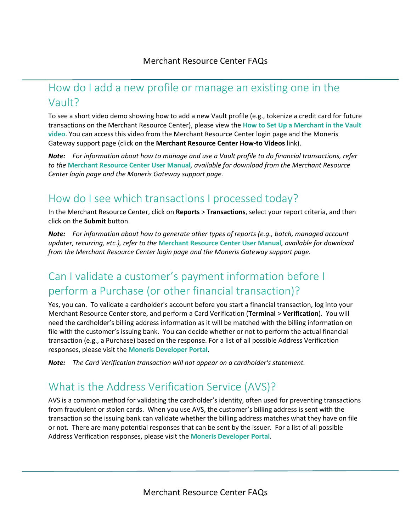## How do I add a new profile or manage an existing one in the Vault?

To see a short video demo showing how to add a new Vault profile (e.g., tokenize a credit card for future transactions on the Merchant Resource Center), please view the **[How to Set Up a Merchant in the Vault](https://www3.moneris.com/mpg/)  [video](https://www3.moneris.com/mpg/)**. You can access this video from the Merchant Resource Center login page and the Moneris Gateway support page (click on the **Merchant Resource Center How-to Videos** link).

*Note: For information about how to manage and use a Vault profile to do financial transactions, refer to the* **[Merchant Resource Center User Manual](https://www3.moneris.com/mpg/)***, available for download from the Merchant Resource Center login page and the Moneris Gateway support page.*

## How do I see which transactions I processed today?

In the Merchant Resource Center, click on **Reports** > **Transactions**, select your report criteria, and then click on the **Submit** button.

*Note: For information about how to generate other types of reports (e.g., batch, managed account updater, recurring, etc.), refer to the* **[Merchant Resource Center User Manual](https://www3.moneris.com/mpg/)***, available for download from the Merchant Resource Center login page and the Moneris Gateway support page.*

# Can I validate a customer's payment information before I perform a Purchase (or other financial transaction)?

Yes, you can. To validate a cardholder's account before you start a financial transaction, log into your Merchant Resource Center store, and perform a Card Verification (**Terminal** > **Verification**). You will need the cardholder's billing address information as it will be matched with the billing information on file with the customer's issuing bank. You can decide whether or not to perform the actual financial transaction (e.g., a Purchase) based on the response. For a list of all possible Address Verification responses, please visit the **[Moneris Developer Portal](https://developer.moneris.com/)**.

*Note: The Card Verification transaction will not appear on a cardholder's statement.* 

## What is the Address Verification Service (AVS)?

AVS is a common method for validating the cardholder's identity, often used for preventing transactions from fraudulent or stolen cards. When you use AVS, the customer's billing address is sent with the transaction so the issuing bank can validate whether the billing address matches what they have on file or not. There are many potential responses that can be sent by the issuer. For a list of all possible Address Verification responses, please visit the **[Moneris Developer Portal](https://developer.moneris.com/)**.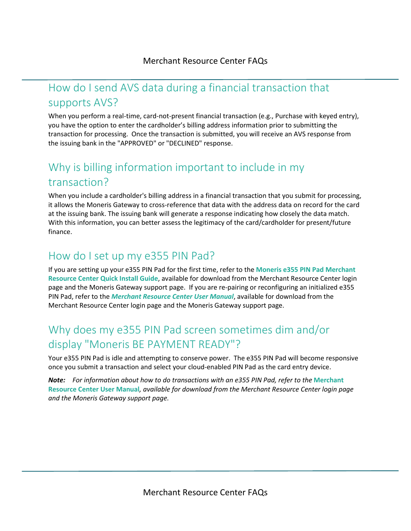### How do I send AVS data during a financial transaction that supports AVS?

When you perform a real-time, card-not-present financial transaction (e.g., Purchase with keyed entry), you have the option to enter the cardholder's billing address information prior to submitting the transaction for processing. Once the transaction is submitted, you will receive an AVS response from the issuing bank in the "APPROVED" or "DECLINED" response.

# Why is billing information important to include in my transaction?

When you include a cardholder's billing address in a financial transaction that you submit for processing, it allows the Moneris Gateway to cross-reference that data with the address data on record for the card at the issuing bank. The issuing bank will generate a response indicating how closely the data match. With this information, you can better assess the legitimacy of the card/cardholder for present/future finance.

#### How do I set up my e355 PIN Pad?

If you are setting up your e355 PIN Pad for the first time, refer to the **[Moneris e355](https://www3.moneris.com/mpg/) PIN Pad Merchant [Resource Center Quick Install Guide](https://www3.moneris.com/mpg/)**, available for download from the Merchant Resource Center login page and the Moneris Gateway support page. If you are re-pairing or reconfiguring an initialized e355 PIN Pad, refer to the *[Merchant Resource Center User Manual](https://www3.moneris.com/mpg/)*, available for download from the Merchant Resource Center login page and the Moneris Gateway support page.

# Why does my e355 PIN Pad screen sometimes dim and/or display "Moneris BE PAYMENT READY"?

Your e355 PIN Pad is idle and attempting to conserve power. The e355 PIN Pad will become responsive once you submit a transaction and select your cloud-enabled PIN Pad as the card entry device.

*Note: For information about how to do transactions with an e355 PIN Pad, refer to the* **[Merchant](https://www3.moneris.com/mpg/)  [Resource Center User Manual](https://www3.moneris.com/mpg/)***, available for download from the Merchant Resource Center login page and the Moneris Gateway support page.*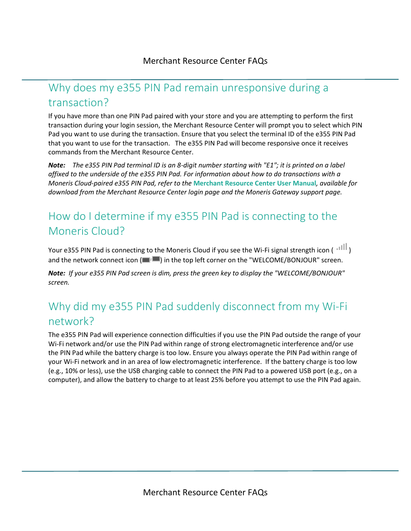# Why does my e355 PIN Pad remain unresponsive during a transaction?

If you have more than one PIN Pad paired with your store and you are attempting to perform the first transaction during your login session, the Merchant Resource Center will prompt you to select which PIN Pad you want to use during the transaction. Ensure that you select the terminal ID of the e355 PIN Pad that you want to use for the transaction. The e355 PIN Pad will become responsive once it receives commands from the Merchant Resource Center.

*Note: The e355 PIN Pad terminal ID is an 8-digit number starting with "E1"; it is printed on a label affixed to the underside of the e355 PIN Pad. For information about how to do transactions with a Moneris Cloud-paired e355 PIN Pad, refer to the* **[Merchant Resource Center User Manual](https://www3.moneris.com/mpg/)***, available for download from the Merchant Resource Center login page and the Moneris Gateway support page.*

# How do I determine if my e355 PIN Pad is connecting to the Moneris Cloud?

Your e355 PIN Pad is connecting to the Moneris Cloud if you see the Wi-Fi signal strength icon ( $\frac{||||}{||}$ ) and the network connect icon  $(\blacksquare^{\dagger} \blacksquare)$  in the top left corner on the "WELCOME/BONJOUR" screen.

*Note: If your e355 PIN Pad screen is dim, press the green key to display the "WELCOME/BONJOUR" screen.*

# Why did my e355 PIN Pad suddenly disconnect from my Wi-Fi network?

The e355 PIN Pad will experience connection difficulties if you use the PIN Pad outside the range of your Wi-Fi network and/or use the PIN Pad within range of strong electromagnetic interference and/or use the PIN Pad while the battery charge is too low. Ensure you always operate the PIN Pad within range of your Wi-Fi network and in an area of low electromagnetic interference. If the battery charge is too low (e.g., 10% or less), use the USB charging cable to connect the PIN Pad to a powered USB port (e.g., on a computer), and allow the battery to charge to at least 25% before you attempt to use the PIN Pad again.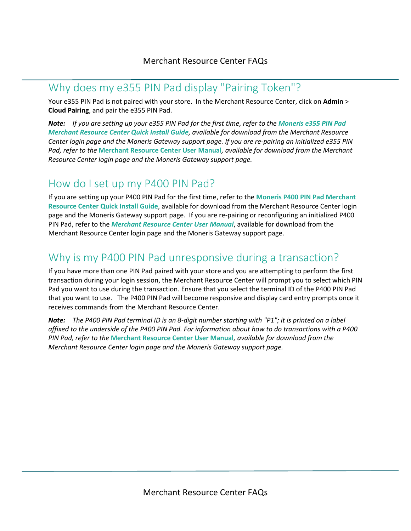#### Why does my e355 PIN Pad display "Pairing Token"?

Your e355 PIN Pad is not paired with your store. In the Merchant Resource Center, click on **Admin** > **Cloud Pairing**, and pair the e355 PIN Pad.

*Note: If you are setting up your e355 PIN Pad for the first time, refer to the [Moneris e355 PIN Pad](https://www3.moneris.com/mpg/) [Merchant Resource Center Quick Install Guide](https://www3.moneris.com/mpg/), available for download from the Merchant Resource Center login page and the Moneris Gateway support page. If you are re-pairing an initialized e355 PIN Pad, refer to the* **[Merchant Resource Center User Manual](https://www3.moneris.com/mpg/)***, available for download from the Merchant Resource Center login page and the Moneris Gateway support page.*

#### How do I set up my P400 PIN Pad?

If you are setting up your P400 PIN Pad for the first time, refer to the **[Moneris P400 PIN Pad](https://www3.moneris.com/mpg/) Merchant [Resource Center Quick Install Guide](https://www3.moneris.com/mpg/)**, available for download from the Merchant Resource Center login page and the Moneris Gateway support page. If you are re-pairing or reconfiguring an initialized P400 PIN Pad, refer to the *[Merchant Resource Center User Manual](https://www3.moneris.com/mpg/)*, available for download from the Merchant Resource Center login page and the Moneris Gateway support page.

## Why is my P400 PIN Pad unresponsive during a transaction?

If you have more than one PIN Pad paired with your store and you are attempting to perform the first transaction during your login session, the Merchant Resource Center will prompt you to select which PIN Pad you want to use during the transaction. Ensure that you select the terminal ID of the P400 PIN Pad that you want to use. The P400 PIN Pad will become responsive and display card entry prompts once it receives commands from the Merchant Resource Center.

*Note: The P400 PIN Pad terminal ID is an 8-digit number starting with "P1"; it is printed on a label affixed to the underside of the P400 PIN Pad. For information about how to do transactions with a P400 PIN Pad, refer to the* **[Merchant Resource Center User Manual](https://www3.moneris.com/mpg/)***, available for download from the Merchant Resource Center login page and the Moneris Gateway support page.*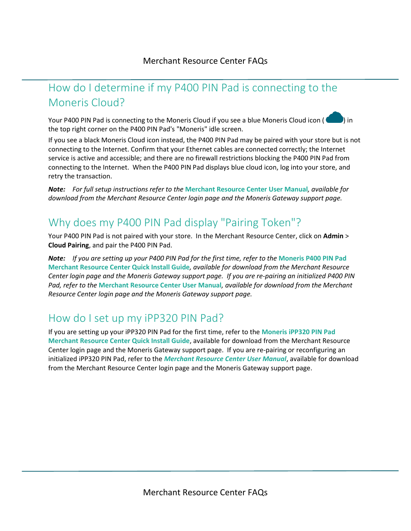# How do I determine if my P400 PIN Pad is connecting to the Moneris Cloud?

Your P400 PIN Pad is connecting to the Moneris Cloud if you see a blue Moneris Cloud icon (<br>In the top right corner on the P400 PIN Pad's "Moneris" idle screen.

If you see a black Moneris Cloud icon instead, the P400 PIN Pad may be paired with your store but is not connecting to the Internet. Confirm that your Ethernet cables are connected correctly; the Internet service is active and accessible; and there are no firewall restrictions blocking the P400 PIN Pad from connecting to the Internet. When the P400 PIN Pad displays blue cloud icon, log into your store, and retry the transaction.

*Note: For full setup instructions refer to the* **[Merchant Resource Center User Manual](https://www3.moneris.com/mpg/)***, available for download from the Merchant Resource Center login page and the Moneris Gateway support page.*

# Why does my P400 PIN Pad display "Pairing Token"?

Your P400 PIN Pad is not paired with your store. In the Merchant Resource Center, click on **Admin** > **Cloud Pairing**, and pair the P400 PIN Pad.

*Note: If you are setting up your P400 PIN Pad for the first time, refer to the* **[Moneris P400 PIN Pad](https://www3.moneris.com/mpg/) [Merchant Resource Center Quick Install Guide](https://www3.moneris.com/mpg/)***, available for download from the Merchant Resource Center login page and the Moneris Gateway support page. If you are re-pairing an initialized P400 PIN Pad, refer to the* **[Merchant Resource Center User Manual](https://www3.moneris.com/mpg/)***, available for download from the Merchant Resource Center login page and the Moneris Gateway support page.*

## How do I set up my iPP320 PIN Pad?

If you are setting up your iPP320 PIN Pad for the first time, refer to the **[Moneris iPP320 PIN Pad](https://www3.moneris.com/mpg/) [Merchant Resource Center Quick Install Guide](https://www3.moneris.com/mpg/)**, available for download from the Merchant Resource Center login page and the Moneris Gateway support page. If you are re-pairing or reconfiguring an initialized iPP320 PIN Pad, refer to the *[Merchant Resource Center User Manual](https://www3.moneris.com/mpg/)*, available for download from the Merchant Resource Center login page and the Moneris Gateway support page.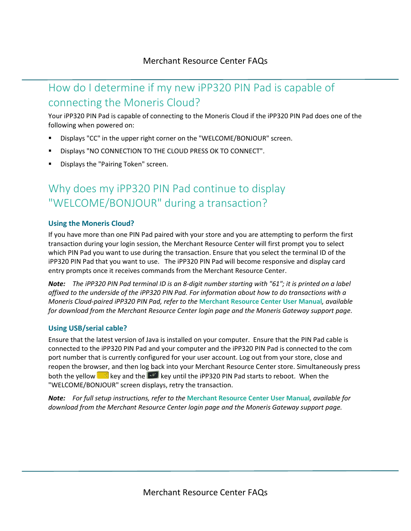# How do I determine if my new iPP320 PIN Pad is capable of connecting the Moneris Cloud?

Your iPP320 PIN Pad is capable of connecting to the Moneris Cloud if the iPP320 PIN Pad does one of the following when powered on:

- Displays "CC" in the upper right corner on the "WELCOME/BONJOUR" screen.
- Displays "NO CONNECTION TO THE CLOUD PRESS OK TO CONNECT".
- Displays the "Pairing Token" screen.

# Why does my iPP320 PIN Pad continue to display "WELCOME/BONJOUR" during a transaction?

#### **Using the Moneris Cloud?**

If you have more than one PIN Pad paired with your store and you are attempting to perform the first transaction during your login session, the Merchant Resource Center will first prompt you to select which PIN Pad you want to use during the transaction. Ensure that you select the terminal ID of the iPP320 PIN Pad that you want to use. The iPP320 PIN Pad will become responsive and display card entry prompts once it receives commands from the Merchant Resource Center.

*Note: The iPP320 PIN Pad terminal ID is an 8-digit number starting with "61"; it is printed on a label affixed to the underside of the iPP320 PIN Pad. For information about how to do transactions with a Moneris Cloud-paired iPP320 PIN Pad, refer to the* **[Merchant Resource Center](https://www3.moneris.com/mpg/) User Manual***, available for download from the Merchant Resource Center login page and the Moneris Gateway support page.*

#### **Using USB/serial cable?**

Ensure that the latest version of Java is installed on your computer. Ensure that the PIN Pad cable is connected to the iPP320 PIN Pad and your computer and the iPP320 PIN Pad is connected to the com port number that is currently configured for your user account. Log out from your store, close and reopen the browser, and then log back into your Merchant Resource Center store. Simultaneously press both the yellow  $\Box$  key and the  $\Box$  key until the iPP320 PIN Pad starts to reboot. When the "WELCOME/BONJOUR" screen displays, retry the transaction.

*Note: For full setup instructions, refer to the* **[Merchant Resource Center User Manual](https://www3.moneris.com/mpg/)***, available for download from the Merchant Resource Center login page and the Moneris Gateway support page.*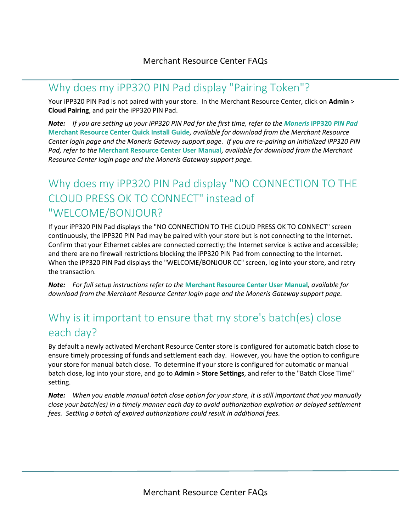#### Why does my iPP320 PIN Pad display "Pairing Token"?

Your iPP320 PIN Pad is not paired with your store. In the Merchant Resource Center, click on **Admin** > **Cloud Pairing**, and pair the iPP320 PIN Pad.

*Note: If you are setting up your iPP320 PIN Pad for the first time, refer to the [Moneris](https://www3.moneris.com/mpg/)* **iPP320** *PIN Pad* **[Merchant Resource Center Quick Install Guide](https://www3.moneris.com/mpg/)***, available for download from the Merchant Resource Center login page and the Moneris Gateway support page. If you are re-pairing an initialized iPP320 PIN Pad, refer to the* **[Merchant Resource Center User Manual](https://www3.moneris.com/mpg/)***, available for download from the Merchant Resource Center login page and the Moneris Gateway support page.*

# Why does my iPP320 PIN Pad display "NO CONNECTION TO THE CLOUD PRESS OK TO CONNECT" instead of "WELCOME/BONJOUR?

If your iPP320 PIN Pad displays the "NO CONNECTION TO THE CLOUD PRESS OK TO CONNECT" screen continuously, the iPP320 PIN Pad may be paired with your store but is not connecting to the Internet. Confirm that your Ethernet cables are connected correctly; the Internet service is active and accessible; and there are no firewall restrictions blocking the iPP320 PIN Pad from connecting to the Internet. When the iPP320 PIN Pad displays the "WELCOME/BONJOUR CC" screen, log into your store, and retry the transaction.

*Note: For full setup instructions refer to the* **[Merchant Resource Center User Manual](https://www3.moneris.com/mpg/)***, available for download from the Merchant Resource Center login page and the Moneris Gateway support page.*

# Why is it important to ensure that my store's batch(es) close each day?

By default a newly activated Merchant Resource Center store is configured for automatic batch close to ensure timely processing of funds and settlement each day. However, you have the option to configure your store for manual batch close. To determine if your store is configured for automatic or manual batch close, log into your store, and go to **Admin** > **Store Settings**, and refer to the "Batch Close Time" setting.

*Note: When you enable manual batch close option for your store, it is still important that you manually close your batch(es) in a timely manner each day to avoid authorization expiration or delayed settlement fees. Settling a batch of expired authorizations could result in additional fees.*